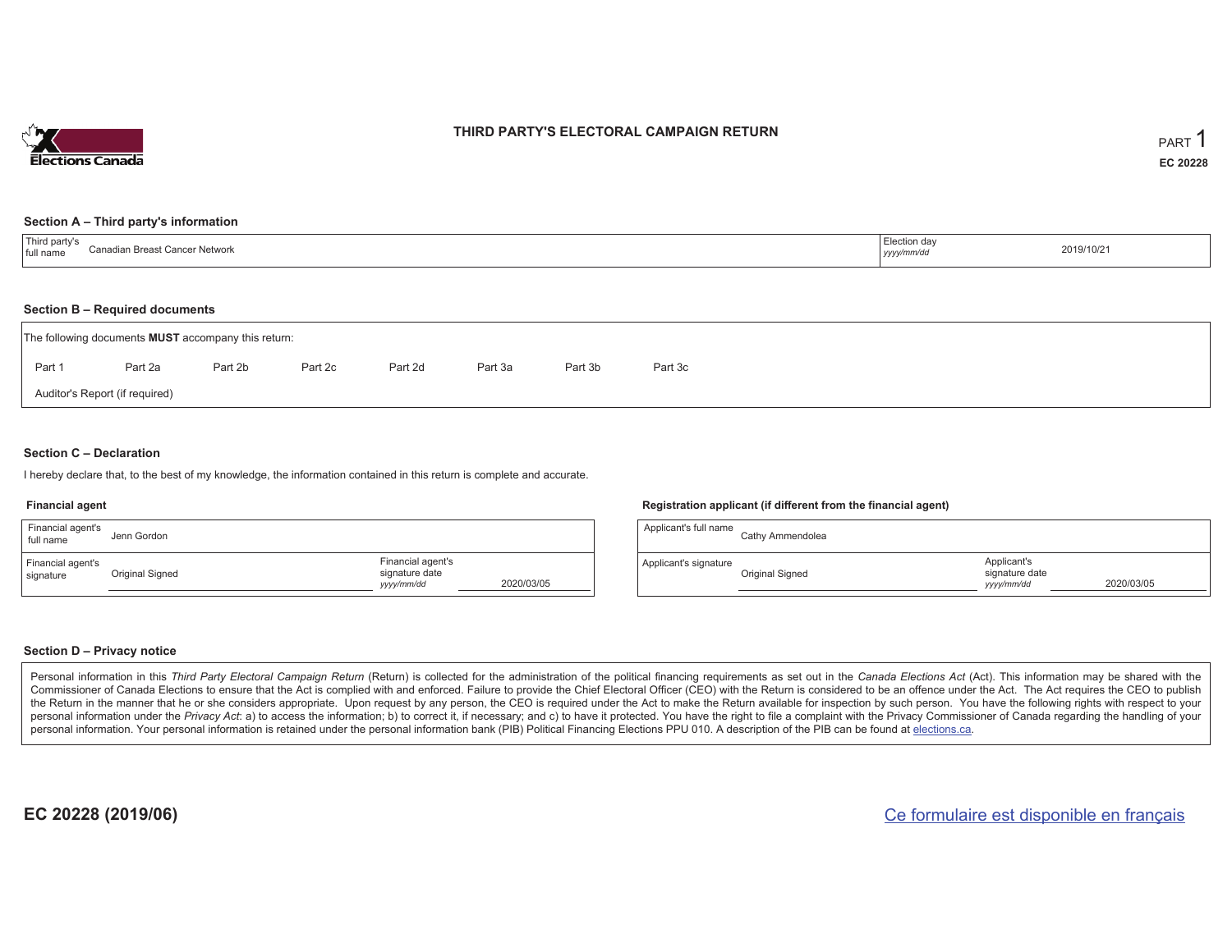

### **THIRD PARTY'S ELECTORAL CAMPAIGN RETURN**

#### **Section A – Third party's information**

| 'Third party's<br>Canadian Breast Cancer Network<br>full name | Election day<br>yyyy/mm/dr | 2019/10/21 |
|---------------------------------------------------------------|----------------------------|------------|
|---------------------------------------------------------------|----------------------------|------------|

#### **Section B – Required documents**

| The following documents <b>MUST</b> accompany this return: |                                |         |         |         |         |         |         |  |  |  |  |  |  |
|------------------------------------------------------------|--------------------------------|---------|---------|---------|---------|---------|---------|--|--|--|--|--|--|
| Part 1                                                     | Part 2a                        | Part 2b | Part 2c | Part 2d | Part 3a | Part 3b | Part 3c |  |  |  |  |  |  |
|                                                            | Auditor's Report (if required) |         |         |         |         |         |         |  |  |  |  |  |  |

### **Section C – Declaration**

I hereby declare that, to the best of my knowledge, the information contained in this return is complete and accurate.

#### **Financial agent**

| Financial agent's<br>full name | Jenn Gordon     |                                                   |            |
|--------------------------------|-----------------|---------------------------------------------------|------------|
| Financial agent's<br>signature | Original Signed | Financial agent's<br>signature date<br>yyyy/mm/dd | 2020/03/05 |

#### **Registration applicant (if different from the financial agent)**

| Applicant's full name | Cathy Ammendolea |                                             |            |
|-----------------------|------------------|---------------------------------------------|------------|
| Applicant's signature | Original Signed  | Applicant's<br>signature date<br>yyyy/mm/dd | 2020/03/05 |

### **Section D – Privacy notice**

Personal information in this Third Party Electoral Campaign Return (Return) is collected for the administration of the political financing requirements as set out in the Canada Elections Act (Act). This information may be Commissioner of Canada Elections to ensure that the Act is complied with and enforced. Failure to provide the Chief Electoral Officer (CEO) with the Return is considered to be an offence under the Act. The Act requires the the Return in the manner that he or she considers appropriate. Upon request by any person, the CEO is required under the Act to make the Return available for inspection by such person. You have the following rights with re personal information under the Privacy Act: a) to access the information; b) to correct it, if necessary; and c) to have it protected. You have the right to file a complaint with the Privacy Commissioner of Canada regardin personal information. Your personal information is retained under the personal information bank (PIB) Political Financing Elections PPU 010. A description of the PIB can be found at elections.ca.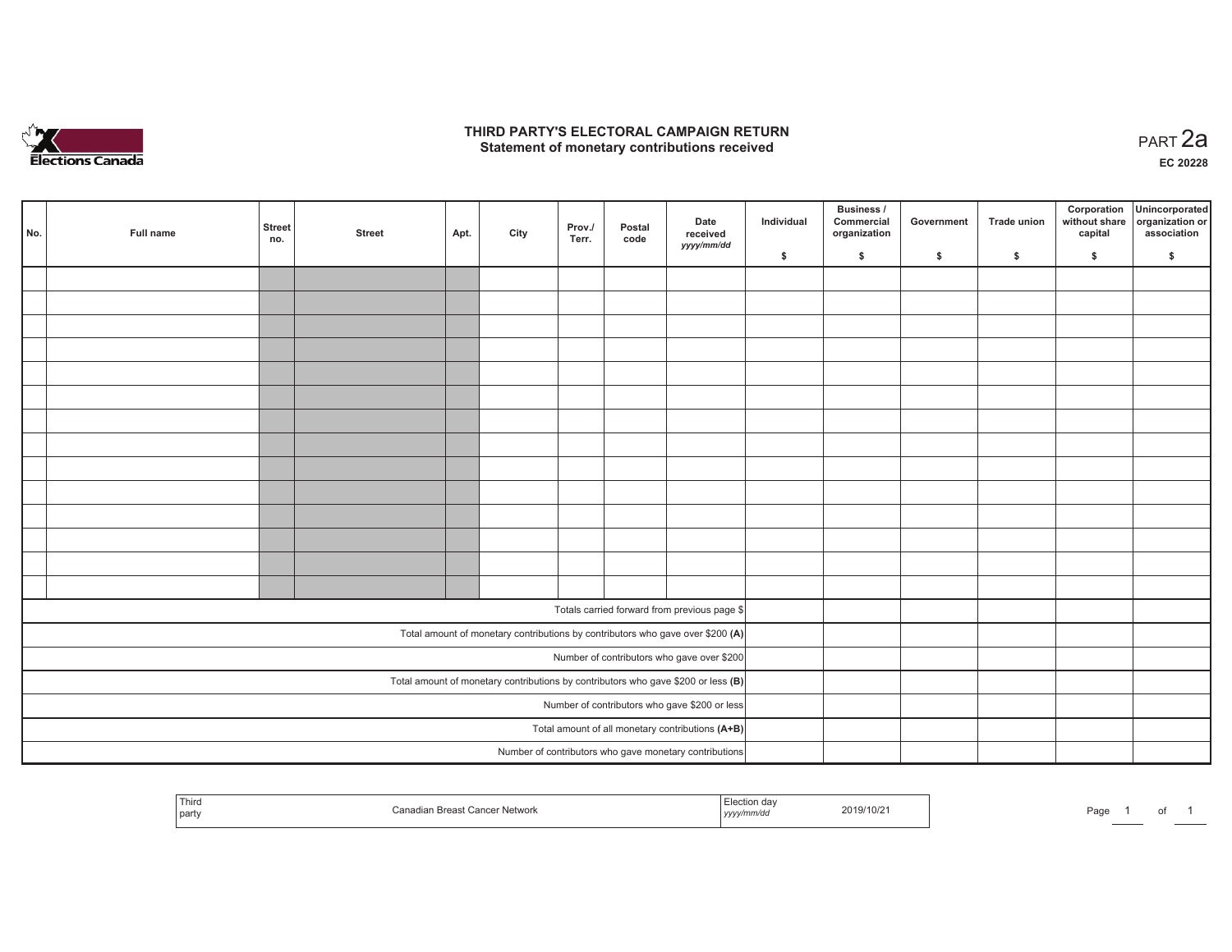

### **THIRD PARTY'S ELECTORAL CAMPAIGN RETURN HIRD PARTY'S ELECTORAL CAMPAIGN RETURN<br>Statement of monetary contributions received PART 2a**

**EC 20228**

| No. | Full name                                     | <b>Street</b><br>no.                             | <b>Street</b> | Apt. | City | Prov./<br>Terr. | Postal<br>code | Date<br>received<br>yyyy/mm/dd                                                      | Individual | Business /<br>Commercial<br>organization | Government | <b>Trade union</b> | Corporation<br>without share<br>capital | Unincorporated<br>organization or<br>association |
|-----|-----------------------------------------------|--------------------------------------------------|---------------|------|------|-----------------|----------------|-------------------------------------------------------------------------------------|------------|------------------------------------------|------------|--------------------|-----------------------------------------|--------------------------------------------------|
|     |                                               |                                                  |               |      |      |                 |                |                                                                                     | \$         | \$                                       | \$         | \$                 | \$                                      | \$                                               |
|     |                                               |                                                  |               |      |      |                 |                |                                                                                     |            |                                          |            |                    |                                         |                                                  |
|     |                                               |                                                  |               |      |      |                 |                |                                                                                     |            |                                          |            |                    |                                         |                                                  |
|     |                                               |                                                  |               |      |      |                 |                |                                                                                     |            |                                          |            |                    |                                         |                                                  |
|     |                                               |                                                  |               |      |      |                 |                |                                                                                     |            |                                          |            |                    |                                         |                                                  |
|     |                                               |                                                  |               |      |      |                 |                |                                                                                     |            |                                          |            |                    |                                         |                                                  |
|     |                                               |                                                  |               |      |      |                 |                |                                                                                     |            |                                          |            |                    |                                         |                                                  |
|     |                                               |                                                  |               |      |      |                 |                |                                                                                     |            |                                          |            |                    |                                         |                                                  |
|     |                                               |                                                  |               |      |      |                 |                |                                                                                     |            |                                          |            |                    |                                         |                                                  |
|     |                                               |                                                  |               |      |      |                 |                |                                                                                     |            |                                          |            |                    |                                         |                                                  |
|     |                                               |                                                  |               |      |      |                 |                |                                                                                     |            |                                          |            |                    |                                         |                                                  |
|     |                                               |                                                  |               |      |      |                 |                |                                                                                     |            |                                          |            |                    |                                         |                                                  |
|     |                                               |                                                  |               |      |      |                 |                |                                                                                     |            |                                          |            |                    |                                         |                                                  |
|     |                                               |                                                  |               |      |      |                 |                |                                                                                     |            |                                          |            |                    |                                         |                                                  |
|     |                                               |                                                  |               |      |      |                 |                |                                                                                     |            |                                          |            |                    |                                         |                                                  |
|     |                                               |                                                  |               |      |      |                 |                | Totals carried forward from previous page \$                                        |            |                                          |            |                    |                                         |                                                  |
|     |                                               |                                                  |               |      |      |                 |                | Total amount of monetary contributions by contributors who gave over \$200 (A)      |            |                                          |            |                    |                                         |                                                  |
|     |                                               |                                                  |               |      |      |                 |                | Number of contributors who gave over \$200                                          |            |                                          |            |                    |                                         |                                                  |
|     |                                               |                                                  |               |      |      |                 |                | Total amount of monetary contributions by contributors who gave \$200 or less $(B)$ |            |                                          |            |                    |                                         |                                                  |
|     | Number of contributors who gave \$200 or less |                                                  |               |      |      |                 |                |                                                                                     |            |                                          |            |                    |                                         |                                                  |
|     |                                               | Total amount of all monetary contributions (A+B) |               |      |      |                 |                |                                                                                     |            |                                          |            |                    |                                         |                                                  |
|     |                                               |                                                  |               |      |      |                 |                | Number of contributors who gave monetary contributions                              |            |                                          |            |                    |                                         |                                                  |

| Third<br>party | . <del>. .</del><br>1 VV V J I | ,,,,, | 2019/10/2<br>the contract of the contract of the contract of the contract of the contract of | ∍-⊶<br>au. |  |  |  |
|----------------|--------------------------------|-------|----------------------------------------------------------------------------------------------|------------|--|--|--|
|----------------|--------------------------------|-------|----------------------------------------------------------------------------------------------|------------|--|--|--|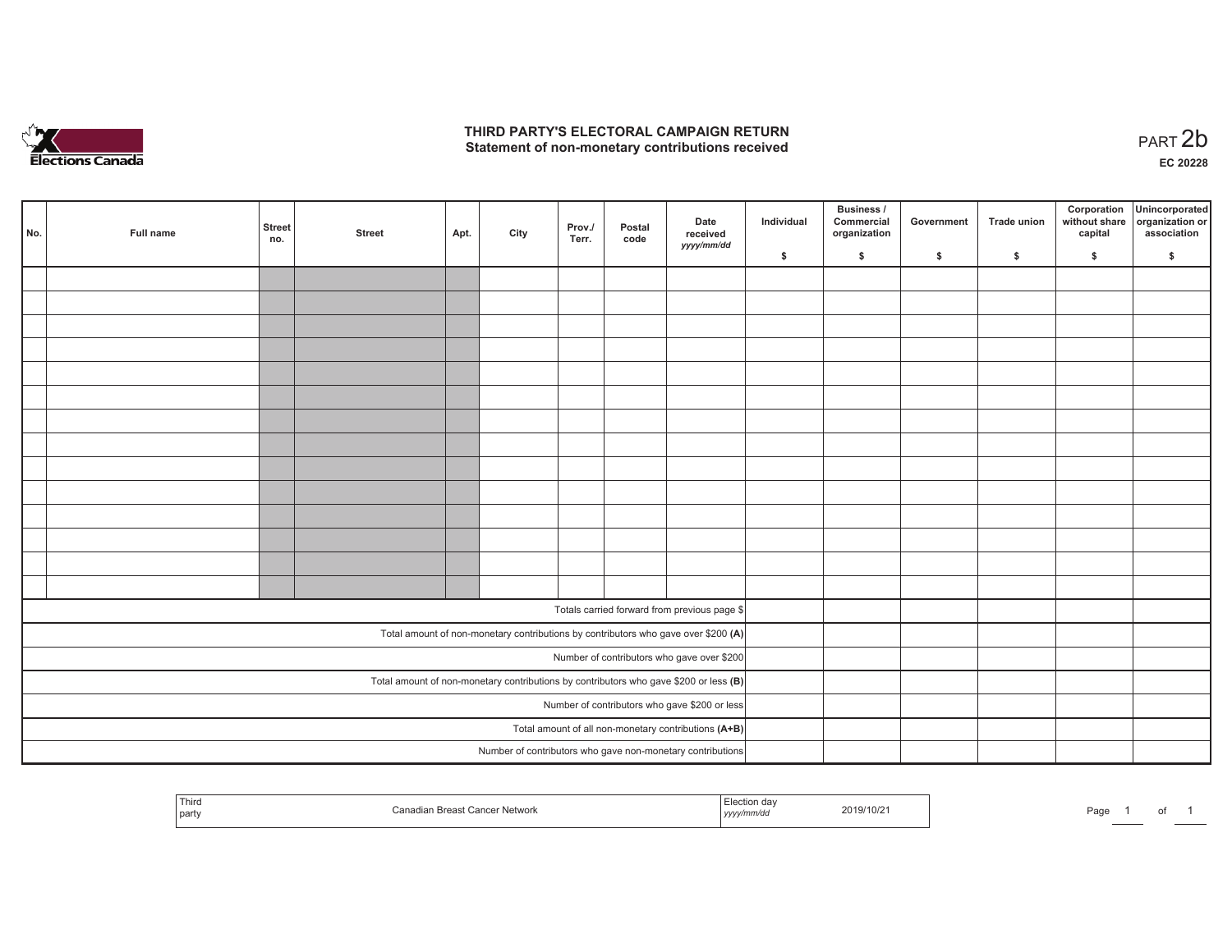

## **THIRD PARTY'S ELECTORAL CAMPAIGN RETURN**  THIRD PARTY'S ELECTORAL CAMPAIGN RETURN<br>Statement of non-monetary contributions received

| No.                                                                                     | Full name | <b>Street</b><br>no. | <b>Street</b> | Apt. | City | Prov./<br>Terr. | Postal<br>code | Date<br>received<br>yyyy/mm/dd                                                     | Individual | <b>Business /</b><br>Commercial<br>organization | Government | Trade union | Corporation<br>capital | Unincorporated<br>without share organization or<br>association |
|-----------------------------------------------------------------------------------------|-----------|----------------------|---------------|------|------|-----------------|----------------|------------------------------------------------------------------------------------|------------|-------------------------------------------------|------------|-------------|------------------------|----------------------------------------------------------------|
|                                                                                         |           |                      |               |      |      |                 |                |                                                                                    | \$         | \$                                              | \$         | \$          | \$                     | \$                                                             |
|                                                                                         |           |                      |               |      |      |                 |                |                                                                                    |            |                                                 |            |             |                        |                                                                |
|                                                                                         |           |                      |               |      |      |                 |                |                                                                                    |            |                                                 |            |             |                        |                                                                |
|                                                                                         |           |                      |               |      |      |                 |                |                                                                                    |            |                                                 |            |             |                        |                                                                |
|                                                                                         |           |                      |               |      |      |                 |                |                                                                                    |            |                                                 |            |             |                        |                                                                |
|                                                                                         |           |                      |               |      |      |                 |                |                                                                                    |            |                                                 |            |             |                        |                                                                |
|                                                                                         |           |                      |               |      |      |                 |                |                                                                                    |            |                                                 |            |             |                        |                                                                |
|                                                                                         |           |                      |               |      |      |                 |                |                                                                                    |            |                                                 |            |             |                        |                                                                |
|                                                                                         |           |                      |               |      |      |                 |                |                                                                                    |            |                                                 |            |             |                        |                                                                |
|                                                                                         |           |                      |               |      |      |                 |                |                                                                                    |            |                                                 |            |             |                        |                                                                |
|                                                                                         |           |                      |               |      |      |                 |                |                                                                                    |            |                                                 |            |             |                        |                                                                |
|                                                                                         |           |                      |               |      |      |                 |                |                                                                                    |            |                                                 |            |             |                        |                                                                |
|                                                                                         |           |                      |               |      |      |                 |                |                                                                                    |            |                                                 |            |             |                        |                                                                |
|                                                                                         |           |                      |               |      |      |                 |                |                                                                                    |            |                                                 |            |             |                        |                                                                |
|                                                                                         |           |                      |               |      |      |                 |                |                                                                                    |            |                                                 |            |             |                        |                                                                |
|                                                                                         |           |                      |               |      |      |                 |                | Totals carried forward from previous page \$                                       |            |                                                 |            |             |                        |                                                                |
|                                                                                         |           |                      |               |      |      |                 |                |                                                                                    |            |                                                 |            |             |                        |                                                                |
|                                                                                         |           |                      |               |      |      |                 |                | Total amount of non-monetary contributions by contributors who gave over \$200 (A) |            |                                                 |            |             |                        |                                                                |
|                                                                                         |           |                      |               |      |      |                 |                | Number of contributors who gave over \$200                                         |            |                                                 |            |             |                        |                                                                |
| Total amount of non-monetary contributions by contributors who gave \$200 or less $(B)$ |           |                      |               |      |      |                 |                |                                                                                    |            |                                                 |            |             |                        |                                                                |
| Number of contributors who gave \$200 or less                                           |           |                      |               |      |      |                 |                |                                                                                    |            |                                                 |            |             |                        |                                                                |
| Total amount of all non-monetary contributions (A+B)                                    |           |                      |               |      |      |                 |                |                                                                                    |            |                                                 |            |             |                        |                                                                |
|                                                                                         |           |                      |               |      |      |                 |                | Number of contributors who gave non-monetary contributions                         |            |                                                 |            |             |                        |                                                                |

| Third<br>dian Breast Cancer Network<br>$\cdot$<br>party | Election da<br>2019/10/2<br><i>∵mm</i> ∕a∟<br>iyyyy | Page<br>υı |
|---------------------------------------------------------|-----------------------------------------------------|------------|
|---------------------------------------------------------|-----------------------------------------------------|------------|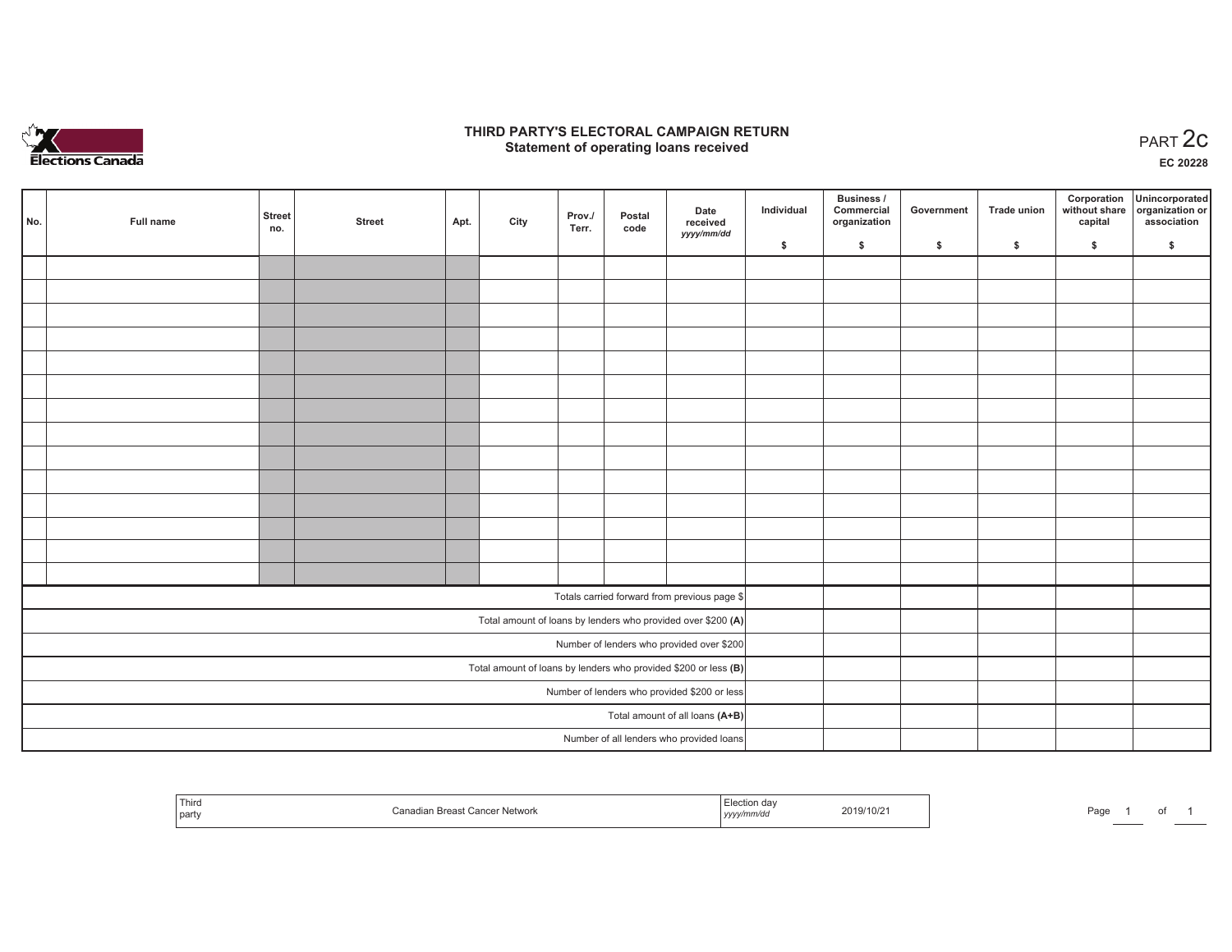

## **THIRD PARTY'S ELECTORAL CAMPAIGN RETURN STATE:** PERSON SELECTORAL CAMPAIGN RETURN<br>
Statement of operating loans received

**EC 20228**

| No.                             | Full name                                    | <b>Street</b><br>no. | <b>Street</b> | Apt. | City | Prov./<br>Terr. | Postal<br>code | Date<br>received                                                | Individual | Business /<br>Commercial<br>organization | Government | <b>Trade union</b> | Corporation<br>capital | Unincorporated<br>without share organization or<br>association |
|---------------------------------|----------------------------------------------|----------------------|---------------|------|------|-----------------|----------------|-----------------------------------------------------------------|------------|------------------------------------------|------------|--------------------|------------------------|----------------------------------------------------------------|
|                                 |                                              |                      |               |      |      |                 |                | yyyy/mm/dd                                                      | \$         | \$                                       | \$         | \$                 | \$                     | \$                                                             |
|                                 |                                              |                      |               |      |      |                 |                |                                                                 |            |                                          |            |                    |                        |                                                                |
|                                 |                                              |                      |               |      |      |                 |                |                                                                 |            |                                          |            |                    |                        |                                                                |
|                                 |                                              |                      |               |      |      |                 |                |                                                                 |            |                                          |            |                    |                        |                                                                |
|                                 |                                              |                      |               |      |      |                 |                |                                                                 |            |                                          |            |                    |                        |                                                                |
|                                 |                                              |                      |               |      |      |                 |                |                                                                 |            |                                          |            |                    |                        |                                                                |
|                                 |                                              |                      |               |      |      |                 |                |                                                                 |            |                                          |            |                    |                        |                                                                |
|                                 |                                              |                      |               |      |      |                 |                |                                                                 |            |                                          |            |                    |                        |                                                                |
|                                 |                                              |                      |               |      |      |                 |                |                                                                 |            |                                          |            |                    |                        |                                                                |
|                                 |                                              |                      |               |      |      |                 |                |                                                                 |            |                                          |            |                    |                        |                                                                |
|                                 |                                              |                      |               |      |      |                 |                |                                                                 |            |                                          |            |                    |                        |                                                                |
|                                 |                                              |                      |               |      |      |                 |                |                                                                 |            |                                          |            |                    |                        |                                                                |
|                                 |                                              |                      |               |      |      |                 |                |                                                                 |            |                                          |            |                    |                        |                                                                |
|                                 |                                              |                      |               |      |      |                 |                |                                                                 |            |                                          |            |                    |                        |                                                                |
|                                 |                                              |                      |               |      |      |                 |                |                                                                 |            |                                          |            |                    |                        |                                                                |
|                                 |                                              |                      |               |      |      |                 |                | Totals carried forward from previous page \$                    |            |                                          |            |                    |                        |                                                                |
|                                 |                                              |                      |               |      |      |                 |                | Total amount of loans by lenders who provided over \$200 (A)    |            |                                          |            |                    |                        |                                                                |
|                                 |                                              |                      |               |      |      |                 |                | Number of lenders who provided over \$200                       |            |                                          |            |                    |                        |                                                                |
|                                 |                                              |                      |               |      |      |                 |                | Total amount of loans by lenders who provided \$200 or less (B) |            |                                          |            |                    |                        |                                                                |
|                                 | Number of lenders who provided \$200 or less |                      |               |      |      |                 |                |                                                                 |            |                                          |            |                    |                        |                                                                |
| Total amount of all loans (A+B) |                                              |                      |               |      |      |                 |                |                                                                 |            |                                          |            |                    |                        |                                                                |
|                                 |                                              |                      |               |      |      |                 |                | Number of all lenders who provided loans                        |            |                                          |            |                    |                        |                                                                |

| Third<br>  party | Breast Cancer Network | ″ lection∟<br>. ua•<br>yyyy/mm/aa | 2019/10/2 | Page |  |  |  |
|------------------|-----------------------|-----------------------------------|-----------|------|--|--|--|
|------------------|-----------------------|-----------------------------------|-----------|------|--|--|--|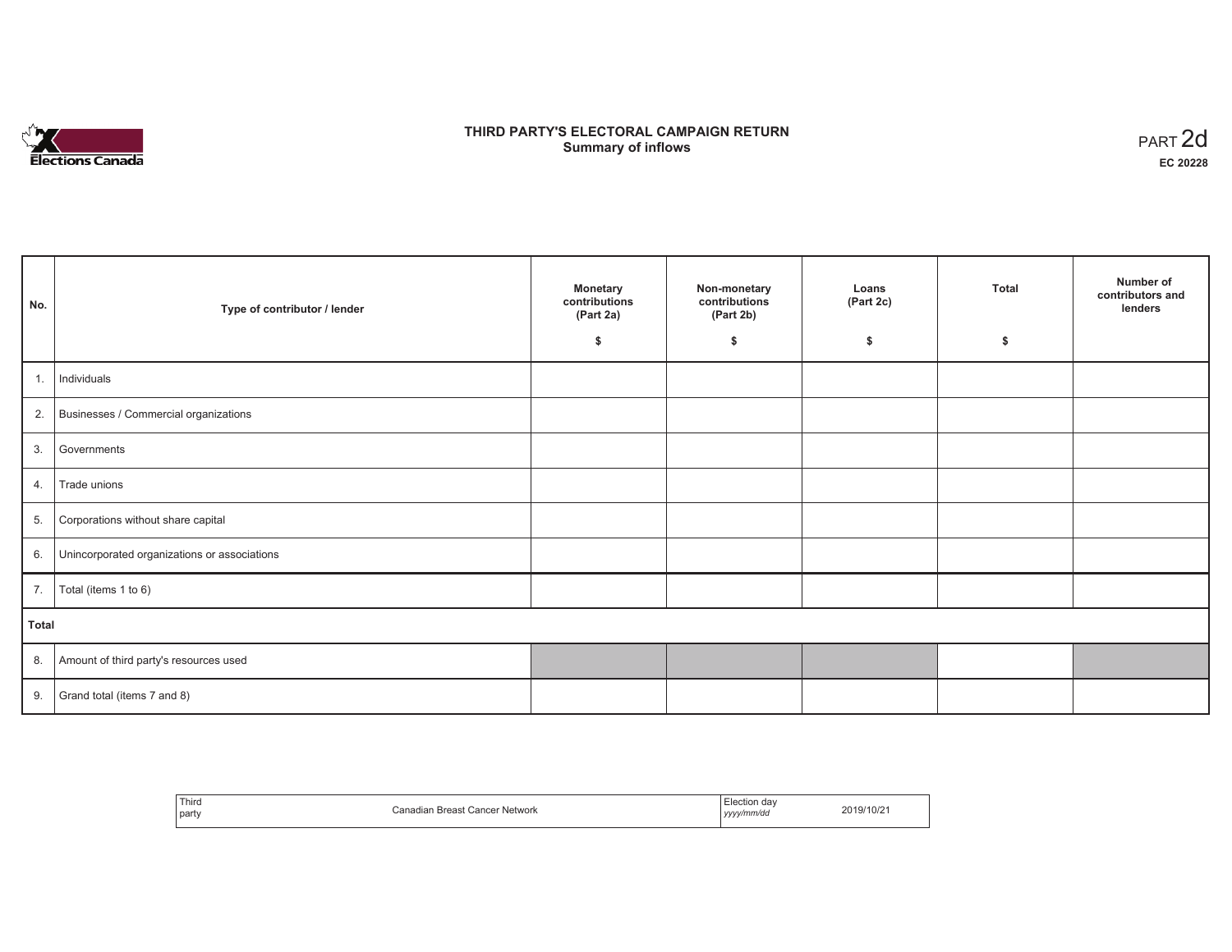

# **THIRD PARTY'S ELECTORAL CAMPAIGN RETURN Summary of inflows** PART 2d

| No.   | Type of contributor / lender                    | <b>Monetary</b><br>contributions<br>(Part 2a)<br>\$ | Non-monetary<br>contributions<br>(Part 2b)<br>\$ | Loans<br>(Part 2c)<br>\$ | <b>Total</b><br>\$ | Number of<br>contributors and<br>lenders |
|-------|-------------------------------------------------|-----------------------------------------------------|--------------------------------------------------|--------------------------|--------------------|------------------------------------------|
|       |                                                 |                                                     |                                                  |                          |                    |                                          |
| 1.    | Individuals                                     |                                                     |                                                  |                          |                    |                                          |
|       | 2. Businesses / Commercial organizations        |                                                     |                                                  |                          |                    |                                          |
|       | 3. Governments                                  |                                                     |                                                  |                          |                    |                                          |
| 4.    | Trade unions                                    |                                                     |                                                  |                          |                    |                                          |
| 5.    | Corporations without share capital              |                                                     |                                                  |                          |                    |                                          |
|       | 6. Unincorporated organizations or associations |                                                     |                                                  |                          |                    |                                          |
| 7.    | Total (items 1 to 6)                            |                                                     |                                                  |                          |                    |                                          |
| Total |                                                 |                                                     |                                                  |                          |                    |                                          |
|       | 8. Amount of third party's resources used       |                                                     |                                                  |                          |                    |                                          |
|       | 9. Grand total (items $7$ and $8$ )             |                                                     |                                                  |                          |                    |                                          |

| Third<br>party<br>the contract of the con- | '<br>∵Network<br>'<br>Breast | -lection<br>. dav<br>vyyy/mm/da<br>,,,, | $119/10/z$ . |
|--------------------------------------------|------------------------------|-----------------------------------------|--------------|
|--------------------------------------------|------------------------------|-----------------------------------------|--------------|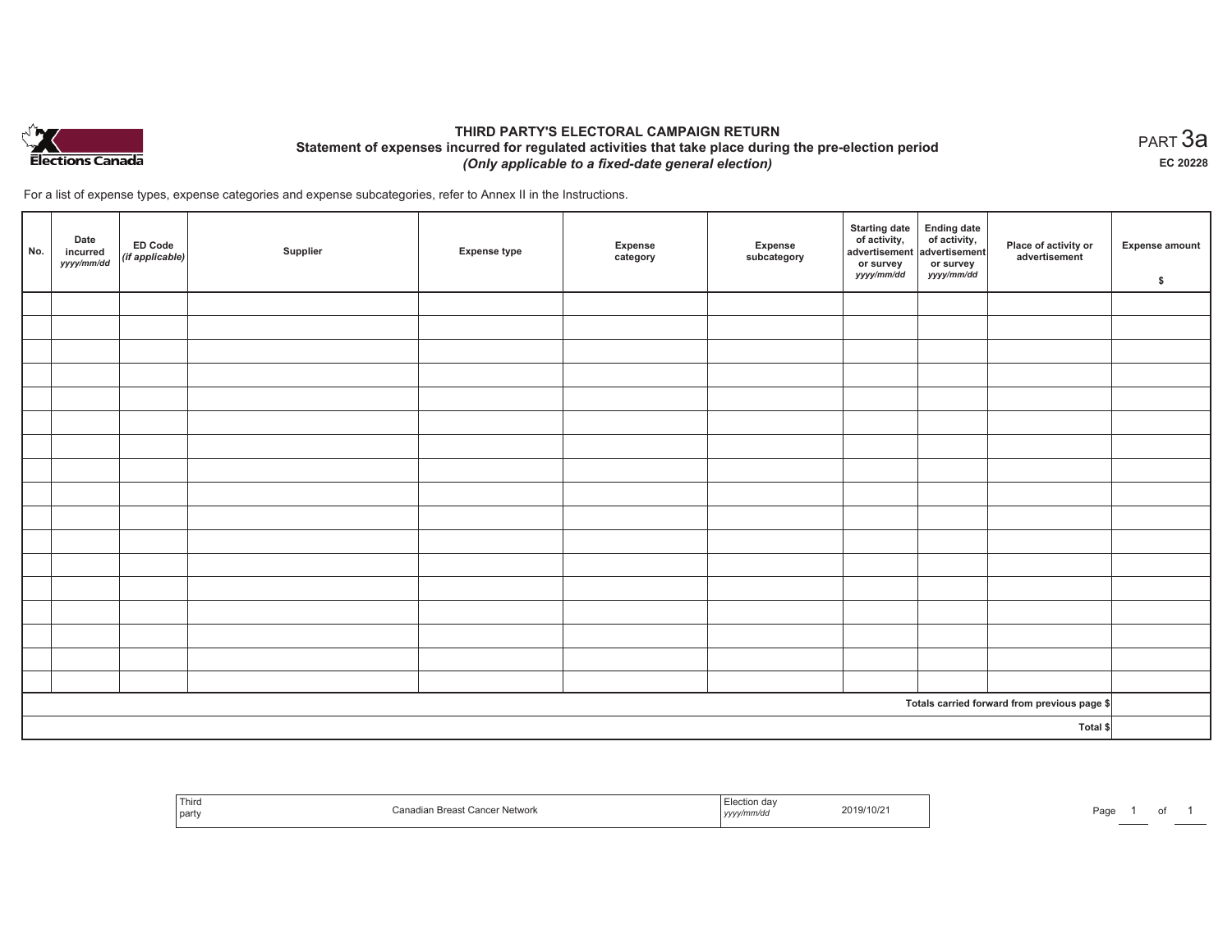

## **THIRD PARTY'S ELECTORAL CAMPAIGN RETURN Statement of expenses incurred for regulated activities that take place during the pre-election period**  *(Only applicable to a fixed-date general election)*

For a list of expense types, expense categories and expense subcategories, refer to Annex II in the Instructions.

| No. | Date<br>incurred<br>yyyy/mm/dd | $E$ D Code<br>(if applicable) | Supplier | <b>Expense type</b> | Expense<br>category | Expense<br>subcategory | <b>Starting date</b><br>of activity,<br>advertisement<br>or survey<br>yyyy/mm/dd | Ending date<br>of activity,<br>advertisement<br>or survey<br>yyyy/mm/dd | Place of activity or<br>advertisement        | <b>Expense amount</b><br>\$ |
|-----|--------------------------------|-------------------------------|----------|---------------------|---------------------|------------------------|----------------------------------------------------------------------------------|-------------------------------------------------------------------------|----------------------------------------------|-----------------------------|
|     |                                |                               |          |                     |                     |                        |                                                                                  |                                                                         |                                              |                             |
|     |                                |                               |          |                     |                     |                        |                                                                                  |                                                                         |                                              |                             |
|     |                                |                               |          |                     |                     |                        |                                                                                  |                                                                         |                                              |                             |
|     |                                |                               |          |                     |                     |                        |                                                                                  |                                                                         |                                              |                             |
|     |                                |                               |          |                     |                     |                        |                                                                                  |                                                                         |                                              |                             |
|     |                                |                               |          |                     |                     |                        |                                                                                  |                                                                         |                                              |                             |
|     |                                |                               |          |                     |                     |                        |                                                                                  |                                                                         |                                              |                             |
|     |                                |                               |          |                     |                     |                        |                                                                                  |                                                                         |                                              |                             |
|     |                                |                               |          |                     |                     |                        |                                                                                  |                                                                         |                                              |                             |
|     |                                |                               |          |                     |                     |                        |                                                                                  |                                                                         |                                              |                             |
|     |                                |                               |          |                     |                     |                        |                                                                                  |                                                                         |                                              |                             |
|     |                                |                               |          |                     |                     |                        |                                                                                  |                                                                         |                                              |                             |
|     |                                |                               |          |                     |                     |                        |                                                                                  |                                                                         |                                              |                             |
|     |                                |                               |          |                     |                     |                        |                                                                                  |                                                                         |                                              |                             |
|     |                                |                               |          |                     |                     |                        |                                                                                  |                                                                         |                                              |                             |
|     |                                |                               |          |                     |                     |                        |                                                                                  |                                                                         |                                              |                             |
|     |                                |                               |          |                     |                     |                        |                                                                                  |                                                                         |                                              |                             |
|     |                                |                               |          |                     |                     |                        |                                                                                  |                                                                         | Totals carried forward from previous page \$ |                             |
|     | Total \$                       |                               |          |                     |                     |                        |                                                                                  |                                                                         |                                              |                             |

| 1 ULLG<br>part | Network. | ,,,,, | 2019/10/2 <sup>-</sup> | Pag |  |  |  |
|----------------|----------|-------|------------------------|-----|--|--|--|
|----------------|----------|-------|------------------------|-----|--|--|--|

 $_{\sf PART}$ 3a **EC 20228**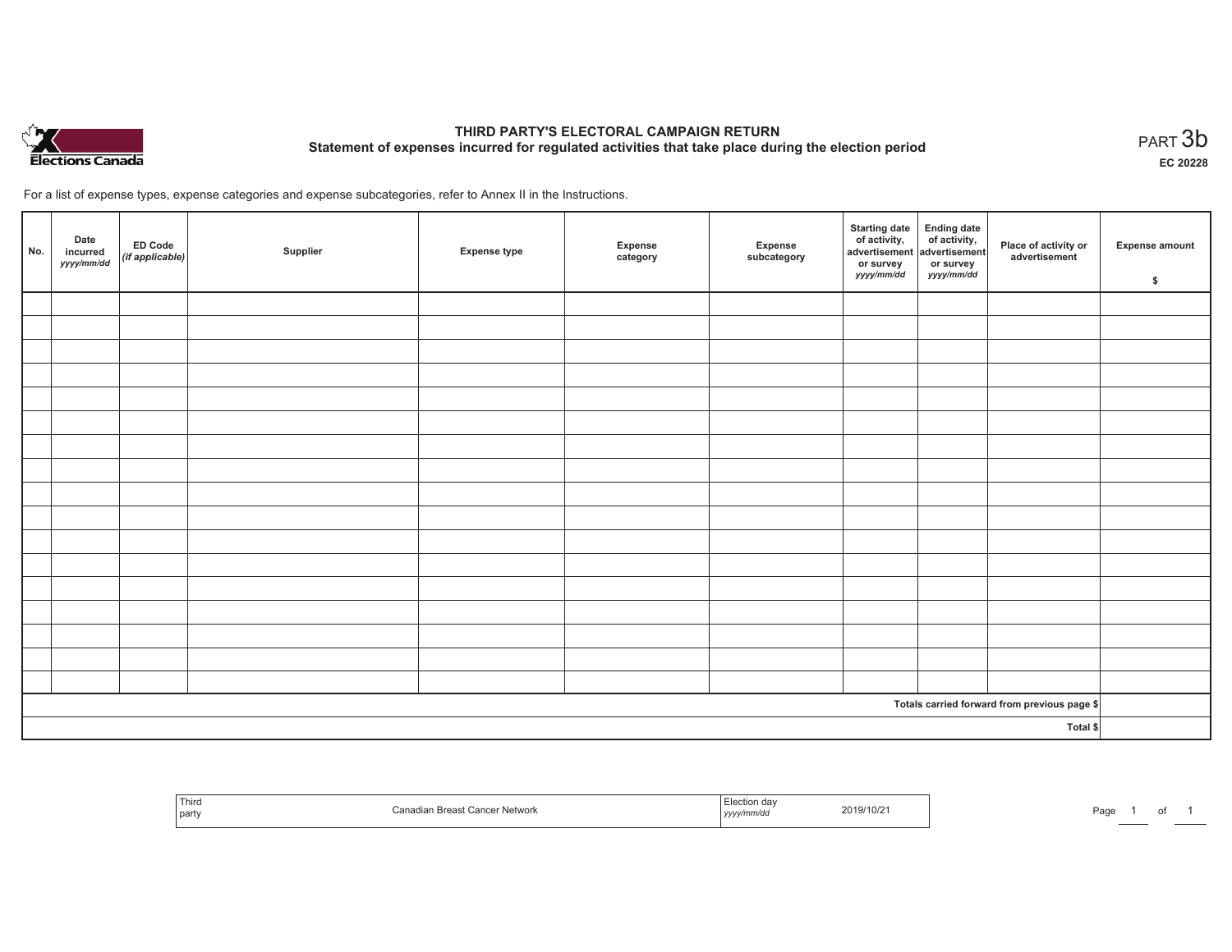

# **THIRD PARTY'S ELECTORAL CAMPAIGN RETURN Statement of expenses incurred for regulated activities that take place during the election period**<br>PART  $3b$

**EC 20228**

of 1

For a list of expense types, expense categories and expense subcategories, refer to Annex II in the Instructions.

| No.                                          | Date<br>incurred<br>yyyy/mm/dd | ED Code<br>(if applicable) | Supplier | <b>Expense type</b> | Expense<br>category | Expense<br>subcategory | Starting date Ending date<br>of activity, of activity,<br>advertisement advertisement<br>or survey<br>yyyy/mm/dd | or survey<br><i>yyyy/mm/dd</i> | Place of activity or<br>advertisement | Expense amount<br>\$ |
|----------------------------------------------|--------------------------------|----------------------------|----------|---------------------|---------------------|------------------------|------------------------------------------------------------------------------------------------------------------|--------------------------------|---------------------------------------|----------------------|
|                                              |                                |                            |          |                     |                     |                        |                                                                                                                  |                                |                                       |                      |
|                                              |                                |                            |          |                     |                     |                        |                                                                                                                  |                                |                                       |                      |
|                                              |                                |                            |          |                     |                     |                        |                                                                                                                  |                                |                                       |                      |
|                                              |                                |                            |          |                     |                     |                        |                                                                                                                  |                                |                                       |                      |
|                                              |                                |                            |          |                     |                     |                        |                                                                                                                  |                                |                                       |                      |
|                                              |                                |                            |          |                     |                     |                        |                                                                                                                  |                                |                                       |                      |
|                                              |                                |                            |          |                     |                     |                        |                                                                                                                  |                                |                                       |                      |
|                                              |                                |                            |          |                     |                     |                        |                                                                                                                  |                                |                                       |                      |
|                                              |                                |                            |          |                     |                     |                        |                                                                                                                  |                                |                                       |                      |
|                                              |                                |                            |          |                     |                     |                        |                                                                                                                  |                                |                                       |                      |
|                                              |                                |                            |          |                     |                     |                        |                                                                                                                  |                                |                                       |                      |
|                                              |                                |                            |          |                     |                     |                        |                                                                                                                  |                                |                                       |                      |
|                                              |                                |                            |          |                     |                     |                        |                                                                                                                  |                                |                                       |                      |
|                                              |                                |                            |          |                     |                     |                        |                                                                                                                  |                                |                                       |                      |
|                                              |                                |                            |          |                     |                     |                        |                                                                                                                  |                                |                                       |                      |
|                                              |                                |                            |          |                     |                     |                        |                                                                                                                  |                                |                                       |                      |
|                                              |                                |                            |          |                     |                     |                        |                                                                                                                  |                                |                                       |                      |
| Totals carried forward from previous page \$ |                                |                            |          |                     |                     |                        |                                                                                                                  |                                |                                       |                      |
| Total \$                                     |                                |                            |          |                     |                     |                        |                                                                                                                  |                                |                                       |                      |

| Third<br>l part | <b>Breast Cancer Network</b><br>$\mathbf{a}$<br>аван<br>. au | ction day<br>. mm/ac<br>, , , , , , | 2019/10/2 | Page |  |
|-----------------|--------------------------------------------------------------|-------------------------------------|-----------|------|--|
|-----------------|--------------------------------------------------------------|-------------------------------------|-----------|------|--|